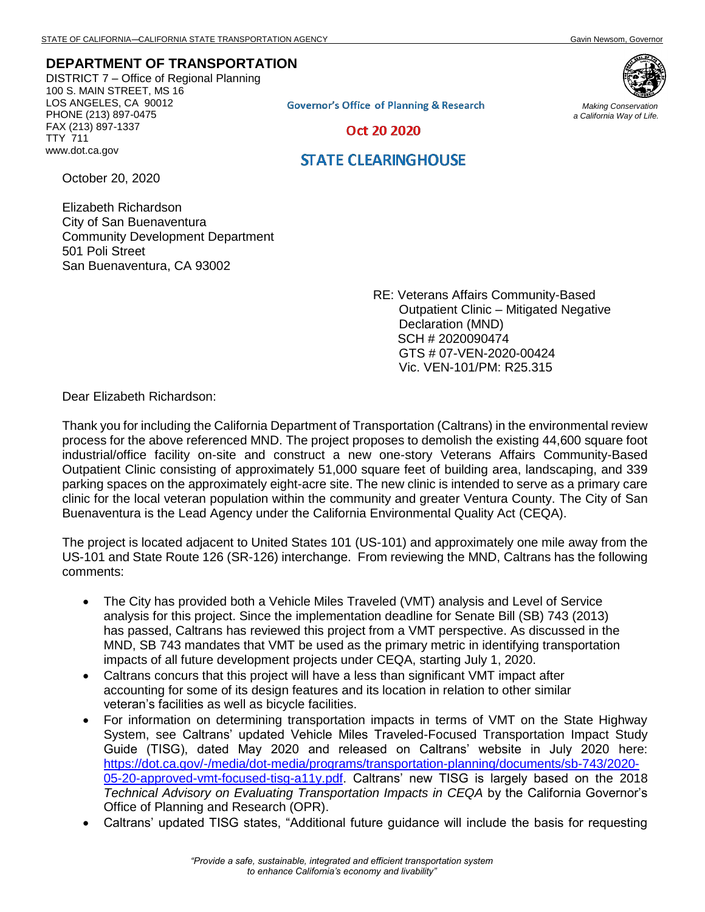## **DEPARTMENT OF TRANSPORTATION**

DISTRICT 7 – Office of Regional Planning 100 S. MAIN STREET, MS 16 LOS ANGELES, CA 90012 PHONE (213) 897-0475 FAX (213) 897-1337 TTY 711 www.dot.ca.gov



**Governor's Office of Planning & Research** 

*Making Conservation a California Way of Life.*

Oct 20 2020

## **STATE CLEARINGHOUSE**

October 20, 2020

Elizabeth Richardson City of San Buenaventura Community Development Department 501 Poli Street San Buenaventura, CA 93002

> RE: Veterans Affairs Community-Based Outpatient Clinic – Mitigated Negative Declaration (MND) SCH # 2020090474 GTS # 07-VEN-2020-00424 Vic. VEN-101/PM: R25.315

Dear Elizabeth Richardson:

Thank you for including the California Department of Transportation (Caltrans) in the environmental review process for the above referenced MND. The project proposes to demolish the existing 44,600 square foot industrial/office facility on-site and construct a new one-story Veterans Affairs Community-Based Outpatient Clinic consisting of approximately 51,000 square feet of building area, landscaping, and 339 parking spaces on the approximately eight-acre site. The new clinic is intended to serve as a primary care clinic for the local veteran population within the community and greater Ventura County. The City of San Buenaventura is the Lead Agency under the California Environmental Quality Act (CEQA).

The project is located adjacent to United States 101 (US-101) and approximately one mile away from the US-101 and State Route 126 (SR-126) interchange. From reviewing the MND, Caltrans has the following comments:

- The City has provided both a Vehicle Miles Traveled (VMT) analysis and Level of Service analysis for this project. Since the implementation deadline for Senate Bill (SB) 743 (2013) has passed, Caltrans has reviewed this project from a VMT perspective. As discussed in the MND, SB 743 mandates that VMT be used as the primary metric in identifying transportation impacts of all future development projects under CEQA, starting July 1, 2020.
- Caltrans concurs that this project will have a less than significant VMT impact after accounting for some of its design features and its location in relation to other similar veteran's facilities as well as bicycle facilities.
- For information on determining transportation impacts in terms of VMT on the State Highway System, see Caltrans' updated Vehicle Miles Traveled-Focused Transportation Impact Study Guide (TISG), dated May 2020 and released on Caltrans' website in July 2020 here: [https://dot.ca.gov/-/media/dot-media/programs/transportation-planning/documents/sb-743/2020-](https://dot.ca.gov/-/media/dot-media/programs/transportation-planning/documents/sb-743/2020-05-20-approved-vmt-focused-tisg-a11y.pdf) [05-20-approved-vmt-focused-tisg-a11y.pdf.](https://dot.ca.gov/-/media/dot-media/programs/transportation-planning/documents/sb-743/2020-05-20-approved-vmt-focused-tisg-a11y.pdf) Caltrans' new TISG is largely based on the 2018 *Technical Advisory on Evaluating Transportation Impacts in CEQA* by the California Governor's Office of Planning and Research (OPR).
- Caltrans' updated TISG states, "Additional future guidance will include the basis for requesting